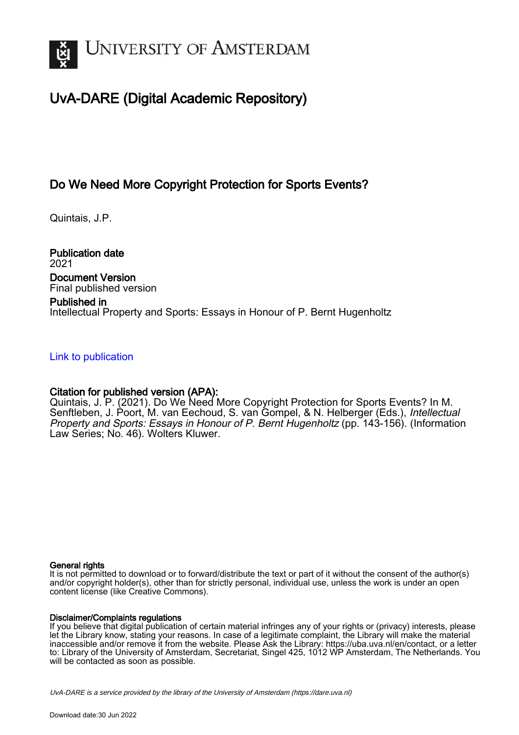

# UvA-DARE (Digital Academic Repository)

# Do We Need More Copyright Protection for Sports Events?

Quintais, J.P.

Publication date 2021 Document Version Final published version

## Published in Intellectual Property and Sports: Essays in Honour of P. Bernt Hugenholtz

## [Link to publication](https://dare.uva.nl/personal/pure/en/publications/do-we-need-more-copyright-protection-for-sports-events(f1935d20-40aa-464f-8a74-cbb51abfb70f).html)

# Citation for published version (APA):

Quintais, J. P. (2021). Do We Need More Copyright Protection for Sports Events? In M. Senftleben, J. Poort, M. van Eechoud, S. van Gompel, & N. Helberger (Eds.), Intellectual Property and Sports: Essays in Honour of P. Bernt Hugenholtz (pp. 143-156). (Information Law Series; No. 46). Wolters Kluwer.

## General rights

It is not permitted to download or to forward/distribute the text or part of it without the consent of the author(s) and/or copyright holder(s), other than for strictly personal, individual use, unless the work is under an open content license (like Creative Commons).

## Disclaimer/Complaints regulations

If you believe that digital publication of certain material infringes any of your rights or (privacy) interests, please let the Library know, stating your reasons. In case of a legitimate complaint, the Library will make the material inaccessible and/or remove it from the website. Please Ask the Library: https://uba.uva.nl/en/contact, or a letter to: Library of the University of Amsterdam, Secretariat, Singel 425, 1012 WP Amsterdam, The Netherlands. You will be contacted as soon as possible.

UvA-DARE is a service provided by the library of the University of Amsterdam (http*s*://dare.uva.nl)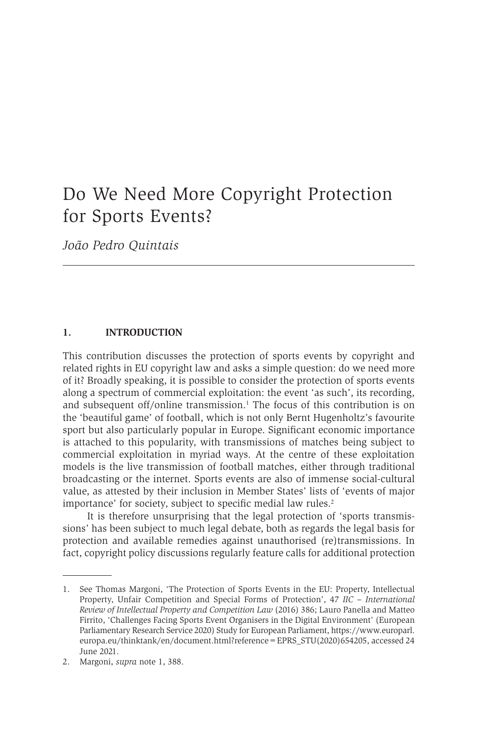# Do We Need More Copyright Protection for Sports Events?

*João Pedro Quintais*

#### **1. INTRODUCTION**

This contribution discusses the protection of sports events by copyright and related rights in EU copyright law and asks a simple question: do we need more of it? Broadly speaking, it is possible to consider the protection of sports events along a spectrum of commercial exploitation: the event 'as such', its recording, and subsequent off/online transmission.<sup>1</sup> The focus of this contribution is on the 'beautiful game' of football, which is not only Bernt Hugenholtz's favourite sport but also particularly popular in Europe. Significant economic importance is attached to this popularity, with transmissions of matches being subject to commercial exploitation in myriad ways. At the centre of these exploitation models is the live transmission of football matches, either through traditional broadcasting or the internet. Sports events are also of immense social-cultural value, as attested by their inclusion in Member States' lists of 'events of major importance' for society, subject to specific medial law rules.<sup>2</sup>

It is therefore unsurprising that the legal protection of 'sports transmissions' has been subject to much legal debate, both as regards the legal basis for protection and available remedies against unauthorised (re)transmissions. In fact, copyright policy discussions regularly feature calls for additional protection

<sup>1.</sup> See Thomas Margoni, 'The Protection of Sports Events in the EU: Property, Intellectual Property, Unfair Competition and Special Forms of Protection', 47 *IIC – International Review of Intellectual Property and Competition Law* (2016) 386; Lauro Panella and Matteo Firrito, 'Challenges Facing Sports Event Organisers in the Digital Environment' (European Parliamentary Research Service 2020) Study for European Parliament, https://www.europarl. europa.eu/thinktank/en/document.html?reference=EPRS\_STU(2020)654205, accessed 24 June 2021.

<sup>2.</sup> Margoni, *supra* note 1, 388.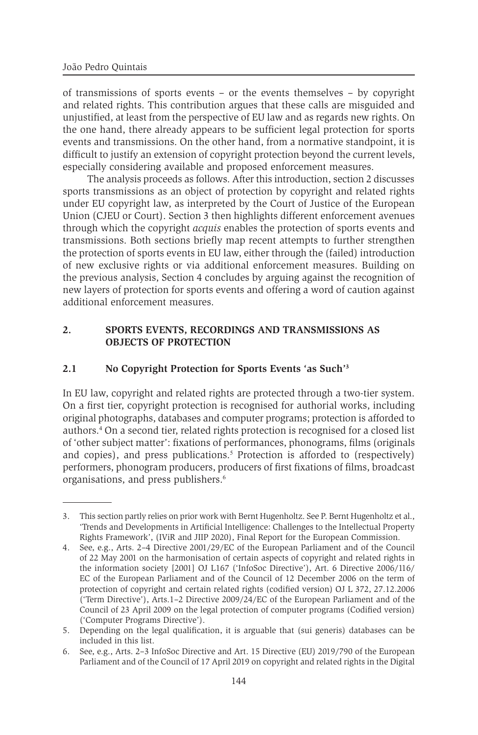of transmissions of sports events – or the events themselves – by copyright and related rights. This contribution argues that these calls are misguided and unjustified, at least from the perspective of EU law and as regards new rights. On the one hand, there already appears to be sufficient legal protection for sports events and transmissions. On the other hand, from a normative standpoint, it is difficult to justify an extension of copyright protection beyond the current levels, especially considering available and proposed enforcement measures.

The analysis proceeds as follows. After this introduction, section 2 discusses sports transmissions as an object of protection by copyright and related rights under EU copyright law, as interpreted by the Court of Justice of the European Union (CJEU or Court). Section 3 then highlights different enforcement avenues through which the copyright *acquis* enables the protection of sports events and transmissions. Both sections briefly map recent attempts to further strengthen the protection of sports events in EU law, either through the (failed) introduction of new exclusive rights or via additional enforcement measures. Building on the previous analysis, Section 4 concludes by arguing against the recognition of new layers of protection for sports events and offering a word of caution against additional enforcement measures.

### **2. SPORTS EVENTS, RECORDINGS AND TRANSMISSIONS AS OBJECTS OF PROTECTION**

### **2.1 No Copyright Protection for Sports Events 'as Such'3**

In EU law, copyright and related rights are protected through a two-tier system. On a first tier, copyright protection is recognised for authorial works, including original photographs, databases and computer programs; protection is afforded to authors.<sup>4</sup> On a second tier, related rights protection is recognised for a closed list of 'other subject matter': fixations of performances, phonograms, films (originals and copies), and press publications.<sup>5</sup> Protection is afforded to (respectively) performers, phonogram producers, producers of first fixations of films, broadcast organisations, and press publishers.<sup>6</sup>

<sup>3.</sup> This section partly relies on prior work with Bernt Hugenholtz. See P. Bernt Hugenholtz et al., 'Trends and Developments in Artificial Intelligence: Challenges to the Intellectual Property Rights Framework', (IViR and JIIP 2020), Final Report for the European Commission.

<sup>4.</sup> See, e.g., Arts. 2–4 Directive 2001/29/EC of the European Parliament and of the Council of 22 May 2001 on the harmonisation of certain aspects of copyright and related rights in the information society [2001] OJ L167 ('InfoSoc Directive'), Art. 6 Directive 2006/116/ EC of the European Parliament and of the Council of 12 December 2006 on the term of protection of copyright and certain related rights (codified version) OJ L 372, 27.12.2006 ('Term Directive'), Arts.1–2 Directive 2009/24/EC of the European Parliament and of the Council of 23 April 2009 on the legal protection of computer programs (Codified version) ('Computer Programs Directive').

<sup>5.</sup> Depending on the legal qualification, it is arguable that (sui generis) databases can be included in this list.

<sup>6.</sup> See, e.g., Arts. 2–3 InfoSoc Directive and Art. 15 Directive (EU) 2019/790 of the European Parliament and of the Council of 17 April 2019 on copyright and related rights in the Digital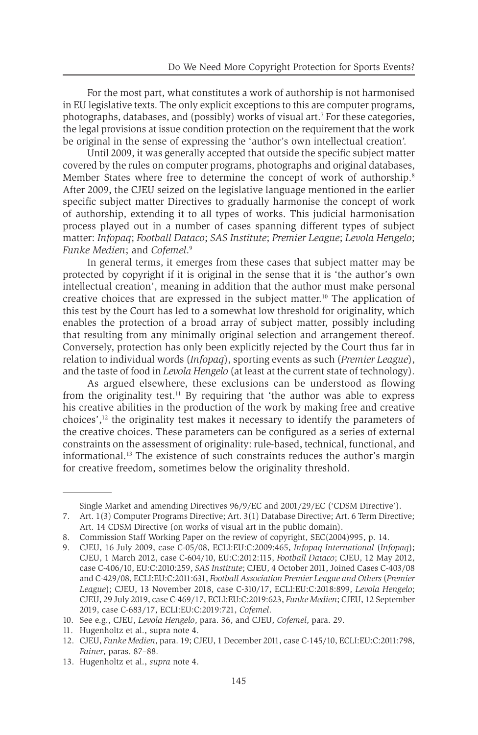For the most part, what constitutes a work of authorship is not harmonised in EU legislative texts. The only explicit exceptions to this are computer programs, photographs, databases, and (possibly) works of visual art.<sup>7</sup> For these categories, the legal provisions at issue condition protection on the requirement that the work be original in the sense of expressing the 'author's own intellectual creation'.

Until 2009, it was generally accepted that outside the specific subject matter covered by the rules on computer programs, photographs and original databases, Member States where free to determine the concept of work of authorship.<sup>8</sup> After 2009, the CJEU seized on the legislative language mentioned in the earlier specific subject matter Directives to gradually harmonise the concept of work of authorship, extending it to all types of works. This judicial harmonisation process played out in a number of cases spanning different types of subject matter: *Infopaq*; *Football Dataco*; *SAS Institute*; *Premier League*; *Levola Hengelo*; *Funke Medien*; and *Cofemel*. 9

In general terms, it emerges from these cases that subject matter may be protected by copyright if it is original in the sense that it is 'the author's own intellectual creation', meaning in addition that the author must make personal creative choices that are expressed in the subject matter.10 The application of this test by the Court has led to a somewhat low threshold for originality, which enables the protection of a broad array of subject matter, possibly including that resulting from any minimally original selection and arrangement thereof. Conversely, protection has only been explicitly rejected by the Court thus far in relation to individual words (*Infopaq*), sporting events as such (*Premier League*), and the taste of food in *Levola Hengelo* (at least at the current state of technology).

As argued elsewhere, these exclusions can be understood as flowing from the originality test.<sup>11</sup> By requiring that 'the author was able to express his creative abilities in the production of the work by making free and creative choices', $12$  the originality test makes it necessary to identify the parameters of the creative choices. These parameters can be configured as a series of external constraints on the assessment of originality: rule-based, technical, functional, and informational.13 The existence of such constraints reduces the author's margin for creative freedom, sometimes below the originality threshold.

Single Market and amending Directives 96/9/EC and 2001/29/EC ('CDSM Directive').

<sup>7.</sup> Art. 1(3) Computer Programs Directive; Art. 3(1) Database Directive; Art. 6 Term Directive; Art. 14 CDSM Directive (on works of visual art in the public domain).

<sup>8.</sup> Commission Staff Working Paper on the review of copyright, SEC(2004)995, p. 14.

<sup>9.</sup> CJEU, 16 July 2009, case C-05/08, ECLI:EU:C:2009:465, *Infopaq International* (*Infopaq*); CJEU, 1 March 2012, case C-604/10, EU:C:2012:115, *Football Dataco*; CJEU, 12 May 2012, case C-406/10, EU:C:2010:259, *SAS Institute*; CJEU, 4 October 2011, Joined Cases C-403/08 and C-429/08, ECLI:EU:C:2011:631, *Football Association Premier League and Others* (*Premier League*); CJEU, 13 November 2018, case C-310/17, ECLI:EU:C:2018:899, *Levola Hengelo*; CJEU, 29 July 2019, case C-469/17, ECLI:EU:C:2019:623, *Funke Medien*; CJEU, 12 September 2019, case C-683/17, ECLI:EU:C:2019:721, *Cofemel*.

<sup>10.</sup> See e.g., CJEU, *Levola Hengelo*, para. 36, and CJEU, *Cofemel*, para. 29.

<sup>11.</sup> Hugenholtz et al., supra note 4.

<sup>12.</sup> CJEU, *Funke Medien*, para. 19; CJEU, 1 December 2011, case C-145/10, ECLI:EU:C:2011:798, *Painer*, paras. 87–88.

<sup>13.</sup> Hugenholtz et al., *supra* note 4.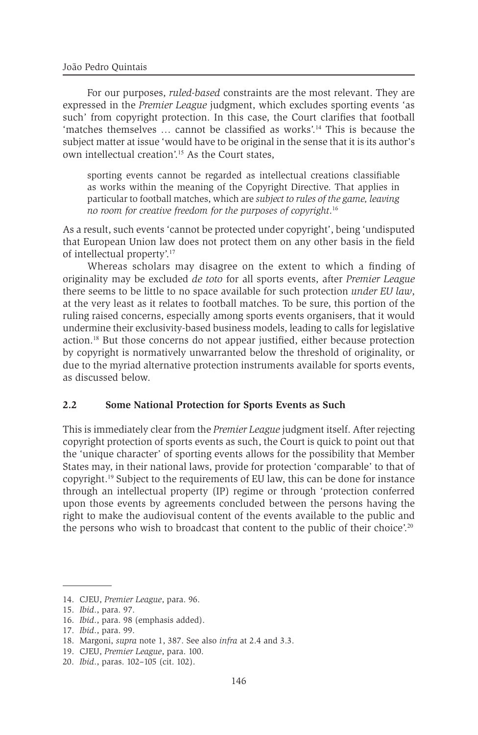For our purposes, *ruled-based* constraints are the most relevant. They are expressed in the *Premier League* judgment, which excludes sporting events 'as such' from copyright protection. In this case, the Court clarifies that football 'matches themselves … cannot be classified as works'.14 This is because the subject matter at issue 'would have to be original in the sense that it is its author's own intellectual creation'.15 As the Court states,

sporting events cannot be regarded as intellectual creations classifiable as works within the meaning of the Copyright Directive. That applies in particular to football matches, which are *subject to rules of the game, leaving no room for creative freedom for the purposes of copyright*. 16

As a result, such events 'cannot be protected under copyright', being 'undisputed that European Union law does not protect them on any other basis in the field of intellectual property'.<sup>17</sup>

Whereas scholars may disagree on the extent to which a finding of originality may be excluded *de toto* for all sports events, after *Premier League* there seems to be little to no space available for such protection *under EU law*, at the very least as it relates to football matches. To be sure, this portion of the ruling raised concerns, especially among sports events organisers, that it would undermine their exclusivity-based business models, leading to calls for legislative action.18 But those concerns do not appear justified, either because protection by copyright is normatively unwarranted below the threshold of originality, or due to the myriad alternative protection instruments available for sports events, as discussed below.

#### **2.2 Some National Protection for Sports Events as Such**

This is immediately clear from the *Premier League* judgment itself. After rejecting copyright protection of sports events as such, the Court is quick to point out that the 'unique character' of sporting events allows for the possibility that Member States may, in their national laws, provide for protection 'comparable' to that of copyright.19 Subject to the requirements of EU law, this can be done for instance through an intellectual property (IP) regime or through 'protection conferred upon those events by agreements concluded between the persons having the right to make the audiovisual content of the events available to the public and the persons who wish to broadcast that content to the public of their choice'.<sup>20</sup>

<sup>14.</sup> CJEU, *Premier League*, para. 96.

<sup>15.</sup> *Ibid*., para. 97.

<sup>16.</sup> *Ibid*., para. 98 (emphasis added).

<sup>17.</sup> *Ibid*., para. 99.

<sup>18.</sup> Margoni, *supra* note 1, 387. See also *infra* at 2.4 and 3.3.

<sup>19.</sup> CJEU, *Premier League*, para. 100.

<sup>20.</sup> *Ibid*., paras. 102–105 (cit. 102).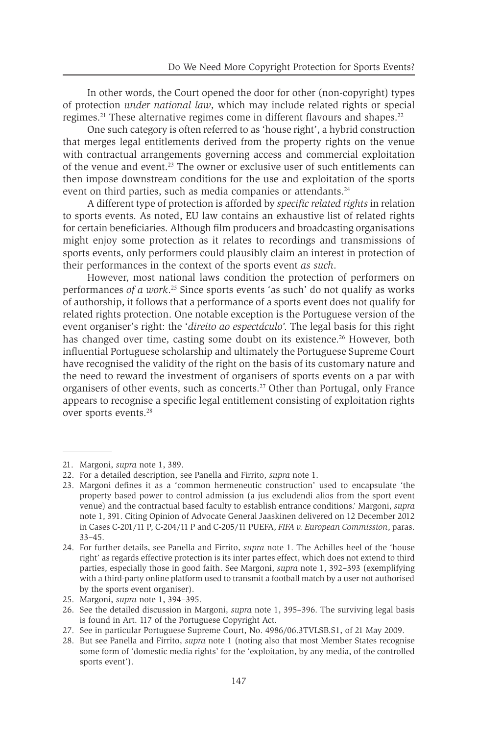In other words, the Court opened the door for other (non-copyright) types of protection *under national law*, which may include related rights or special regimes.<sup>21</sup> These alternative regimes come in different flavours and shapes.<sup>22</sup>

One such category is often referred to as 'house right', a hybrid construction that merges legal entitlements derived from the property rights on the venue with contractual arrangements governing access and commercial exploitation of the venue and event.23 The owner or exclusive user of such entitlements can then impose downstream conditions for the use and exploitation of the sports event on third parties, such as media companies or attendants.<sup>24</sup>

A different type of protection is afforded by *specific related rights* in relation to sports events. As noted, EU law contains an exhaustive list of related rights for certain beneficiaries. Although film producers and broadcasting organisations might enjoy some protection as it relates to recordings and transmissions of sports events, only performers could plausibly claim an interest in protection of their performances in the context of the sports event *as such*.

However, most national laws condition the protection of performers on performances *of a work*. <sup>25</sup> Since sports events 'as such' do not qualify as works of authorship, it follows that a performance of a sports event does not qualify for related rights protection. One notable exception is the Portuguese version of the event organiser's right: the '*direito ao espectáculo*'. The legal basis for this right has changed over time, casting some doubt on its existence.<sup>26</sup> However, both influential Portuguese scholarship and ultimately the Portuguese Supreme Court have recognised the validity of the right on the basis of its customary nature and the need to reward the investment of organisers of sports events on a par with organisers of other events, such as concerts.27 Other than Portugal, only France appears to recognise a specific legal entitlement consisting of exploitation rights over sports events.<sup>28</sup>

<sup>21.</sup> Margoni, *supra* note 1, 389.

<sup>22.</sup> For a detailed description, see Panella and Firrito, *supra* note 1.

<sup>23.</sup> Margoni defines it as a 'common hermeneutic construction' used to encapsulate 'the property based power to control admission (a jus excludendi alios from the sport event venue) and the contractual based faculty to establish entrance conditions.' Margoni, *supra* note 1, 391. Citing Opinion of Advocate General Jaaskinen delivered on 12 December 2012 in Cases C-201/11 P, C-204/11 P and C-205/11 PUEFA, *FIFA v. European Commission*, paras. 33–45.

<sup>24.</sup> For further details, see Panella and Firrito, *supra* note 1. The Achilles heel of the 'house right' as regards effective protection is its inter partes effect, which does not extend to third parties, especially those in good faith. See Margoni, *supra* note 1, 392–393 (exemplifying with a third-party online platform used to transmit a football match by a user not authorised by the sports event organiser).

<sup>25.</sup> Margoni, *supra* note 1, 394–395.

<sup>26.</sup> See the detailed discussion in Margoni, *supra* note 1, 395–396. The surviving legal basis is found in Art. 117 of the Portuguese Copyright Act.

<sup>27.</sup> See in particular Portuguese Supreme Court, No. 4986/06.3TVLSB.S1, of 21 May 2009.

<sup>28.</sup> But see Panella and Firrito, *supra* note 1 (noting also that most Member States recognise some form of 'domestic media rights' for the 'exploitation, by any media, of the controlled sports event').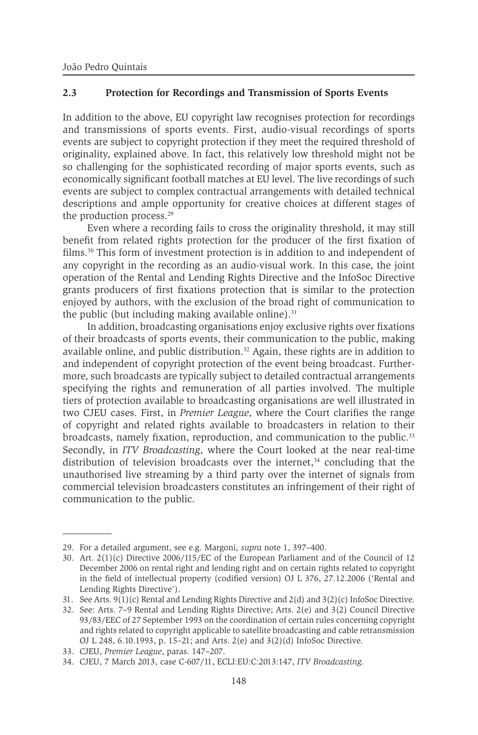#### **2.3 Protection for Recordings and Transmission of Sports Events**

In addition to the above, EU copyright law recognises protection for recordings and transmissions of sports events. First, audio-visual recordings of sports events are subject to copyright protection if they meet the required threshold of originality, explained above. In fact, this relatively low threshold might not be so challenging for the sophisticated recording of major sports events, such as economically significant football matches at EU level. The live recordings of such events are subject to complex contractual arrangements with detailed technical descriptions and ample opportunity for creative choices at different stages of the production process.<sup>29</sup>

Even where a recording fails to cross the originality threshold, it may still benefit from related rights protection for the producer of the first fixation of films.30 This form of investment protection is in addition to and independent of any copyright in the recording as an audio-visual work. In this case, the joint operation of the Rental and Lending Rights Directive and the InfoSoc Directive grants producers of first fixations protection that is similar to the protection enjoyed by authors, with the exclusion of the broad right of communication to the public (but including making available online). $31$ 

In addition, broadcasting organisations enjoy exclusive rights over fixations of their broadcasts of sports events, their communication to the public, making available online, and public distribution.<sup>32</sup> Again, these rights are in addition to and independent of copyright protection of the event being broadcast. Furthermore, such broadcasts are typically subject to detailed contractual arrangements specifying the rights and remuneration of all parties involved. The multiple tiers of protection available to broadcasting organisations are well illustrated in two CJEU cases. First, in *Premier League*, where the Court clarifies the range of copyright and related rights available to broadcasters in relation to their broadcasts, namely fixation, reproduction, and communication to the public.<sup>33</sup> Secondly, in *ITV Broadcasting*, where the Court looked at the near real-time distribution of television broadcasts over the internet, $34$  concluding that the unauthorised live streaming by a third party over the internet of signals from commercial television broadcasters constitutes an infringement of their right of communication to the public.

<sup>29.</sup> For a detailed argument, see e.g. Margoni, *supra* note 1, 397–400.

<sup>30.</sup> Art. 2(1)(c) Directive 2006/115/EC of the European Parliament and of the Council of 12 December 2006 on rental right and lending right and on certain rights related to copyright in the field of intellectual property (codified version) OJ L 376, 27.12.2006 ('Rental and Lending Rights Directive').

<sup>31.</sup> See Arts. 9(1)(c) Rental and Lending Rights Directive and 2(d) and 3(2)(c) InfoSoc Directive.

<sup>32.</sup> See: Arts. 7–9 Rental and Lending Rights Directive; Arts. 2(e) and 3(2) Council Directive 93/83/EEC of 27 September 1993 on the coordination of certain rules concerning copyright and rights related to copyright applicable to satellite broadcasting and cable retransmission OJ L 248, 6.10.1993, p. 15–21; and Arts. 2(e) and 3(2)(d) InfoSoc Directive.

<sup>33.</sup> CJEU, *Premier League*, paras. 147–207.

<sup>34.</sup> CJEU, 7 March 2013, case C-607/11, ECLI:EU:C:2013:147, *ITV Broadcasting*.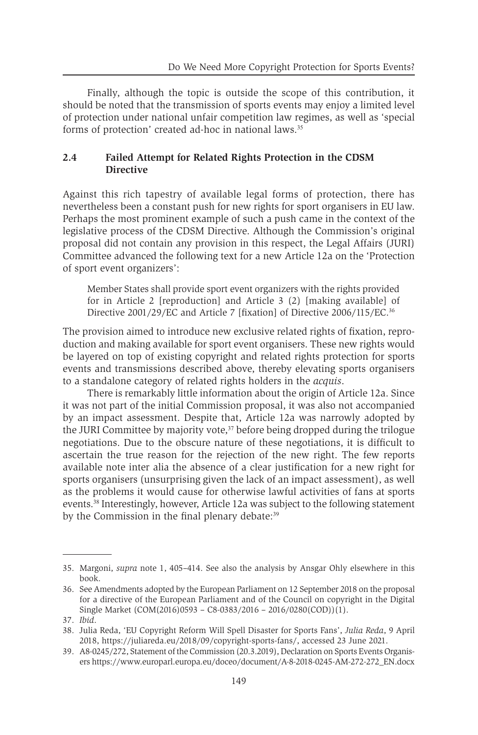Finally, although the topic is outside the scope of this contribution, it should be noted that the transmission of sports events may enjoy a limited level of protection under national unfair competition law regimes, as well as 'special forms of protection' created ad-hoc in national laws.<sup>35</sup>

#### **2.4 Failed Attempt for Related Rights Protection in the CDSM Directive**

Against this rich tapestry of available legal forms of protection, there has nevertheless been a constant push for new rights for sport organisers in EU law. Perhaps the most prominent example of such a push came in the context of the legislative process of the CDSM Directive. Although the Commission's original proposal did not contain any provision in this respect, the Legal Affairs (JURI) Committee advanced the following text for a new Article 12a on the 'Protection of sport event organizers':

Member States shall provide sport event organizers with the rights provided for in Article 2 [reproduction] and Article 3 (2) [making available] of Directive 2001/29/EC and Article 7 [fixation] of Directive 2006/115/EC.<sup>36</sup>

The provision aimed to introduce new exclusive related rights of fixation, reproduction and making available for sport event organisers. These new rights would be layered on top of existing copyright and related rights protection for sports events and transmissions described above, thereby elevating sports organisers to a standalone category of related rights holders in the *acquis*.

There is remarkably little information about the origin of Article 12a. Since it was not part of the initial Commission proposal, it was also not accompanied by an impact assessment. Despite that, Article 12a was narrowly adopted by the JURI Committee by majority vote,<sup>37</sup> before being dropped during the trilogue negotiations. Due to the obscure nature of these negotiations, it is difficult to ascertain the true reason for the rejection of the new right. The few reports available note inter alia the absence of a clear justification for a new right for sports organisers (unsurprising given the lack of an impact assessment), as well as the problems it would cause for otherwise lawful activities of fans at sports events.38 Interestingly, however, Article 12a was subject to the following statement by the Commission in the final plenary debate:<sup>39</sup>

<sup>35.</sup> Margoni, *supra* note 1, 405–414. See also the analysis by Ansgar Ohly elsewhere in this book.

<sup>36.</sup> See Amendments adopted by the European Parliament on 12 September 2018 on the proposal for a directive of the European Parliament and of the Council on copyright in the Digital Single Market (COM(2016)0593 – C8-0383/2016 – 2016/0280(COD))(1).

<sup>37.</sup> *Ibid*.

<sup>38.</sup> Julia Reda, 'EU Copyright Reform Will Spell Disaster for Sports Fans', *Julia Reda*, 9 April 2018, https://juliareda.eu/2018/09/copyright-sports-fans/, accessed 23 June 2021.

<sup>39.</sup> A8-0245/272, Statement of the Commission (20.3.2019), Declaration on Sports Events Organisers https://www.europarl.europa.eu/doceo/document/A-8-2018-0245-AM-272-272\_EN.docx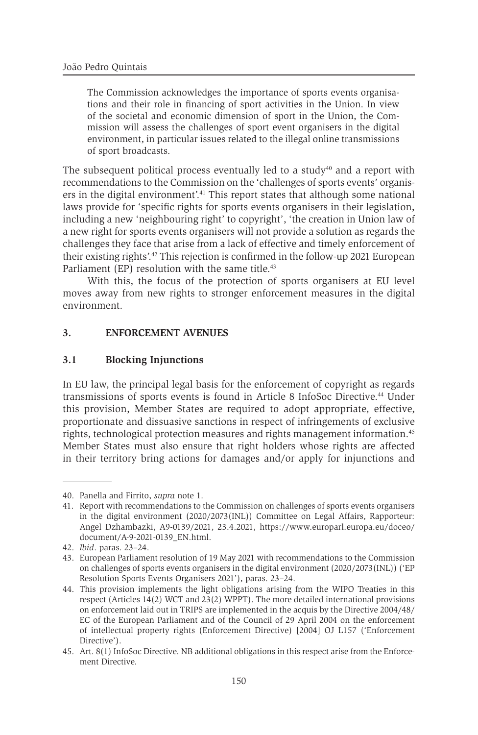The Commission acknowledges the importance of sports events organisations and their role in financing of sport activities in the Union. In view of the societal and economic dimension of sport in the Union, the Commission will assess the challenges of sport event organisers in the digital environment, in particular issues related to the illegal online transmissions of sport broadcasts.

The subsequent political process eventually led to a study $40$  and a report with recommendations to the Commission on the 'challenges of sports events' organisers in the digital environment'.41 This report states that although some national laws provide for 'specific rights for sports events organisers in their legislation, including a new 'neighbouring right' to copyright', 'the creation in Union law of a new right for sports events organisers will not provide a solution as regards the challenges they face that arise from a lack of effective and timely enforcement of their existing rights'.42 This rejection is confirmed in the follow-up 2021 European Parliament (EP) resolution with the same title.<sup>43</sup>

With this, the focus of the protection of sports organisers at EU level moves away from new rights to stronger enforcement measures in the digital environment.

#### **3. ENFORCEMENT AVENUES**

#### **3.1 Blocking Injunctions**

In EU law, the principal legal basis for the enforcement of copyright as regards transmissions of sports events is found in Article 8 InfoSoc Directive.44 Under this provision, Member States are required to adopt appropriate, effective, proportionate and dissuasive sanctions in respect of infringements of exclusive rights, technological protection measures and rights management information.<sup>45</sup> Member States must also ensure that right holders whose rights are affected in their territory bring actions for damages and/or apply for injunctions and

<sup>40.</sup> Panella and Firrito, *supra* note 1.

<sup>41.</sup> Report with recommendations to the Commission on challenges of sports events organisers in the digital environment (2020/2073(INL)) Committee on Legal Affairs, Rapporteur: Angel Dzhambazki, A9-0139/2021, 23.4.2021, https://www.europarl.europa.eu/doceo/ document/A-9-2021-0139\_EN.html.

<sup>42.</sup> *Ibid*. paras. 23–24.

<sup>43.</sup> European Parliament resolution of 19 May 2021 with recommendations to the Commission on challenges of sports events organisers in the digital environment (2020/2073(INL)) ('EP Resolution Sports Events Organisers 2021'), paras. 23–24.

<sup>44.</sup> This provision implements the light obligations arising from the WIPO Treaties in this respect (Articles 14(2) WCT and 23(2) WPPT). The more detailed international provisions on enforcement laid out in TRIPS are implemented in the acquis by the Directive 2004/48/ EC of the European Parliament and of the Council of 29 April 2004 on the enforcement of intellectual property rights (Enforcement Directive) [2004] OJ L157 ('Enforcement Directive').

<sup>45.</sup> Art. 8(1) InfoSoc Directive. NB additional obligations in this respect arise from the Enforcement Directive.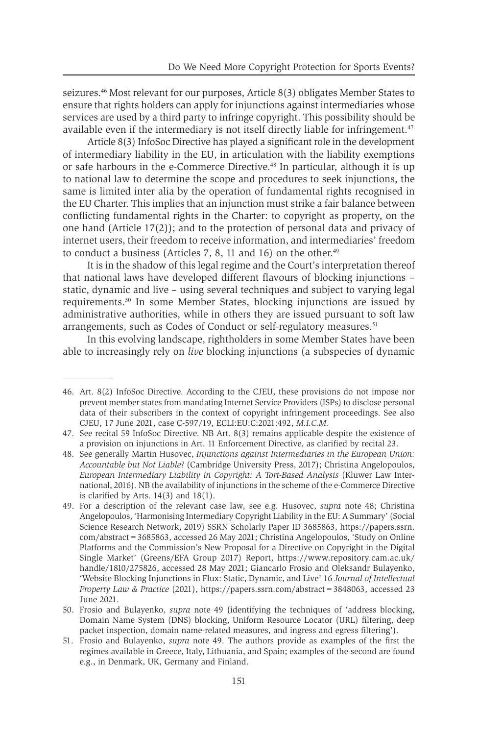seizures.46 Most relevant for our purposes, Article 8(3) obligates Member States to ensure that rights holders can apply for injunctions against intermediaries whose services are used by a third party to infringe copyright. This possibility should be available even if the intermediary is not itself directly liable for infringement.<sup>47</sup>

Article 8(3) InfoSoc Directive has played a significant role in the development of intermediary liability in the EU, in articulation with the liability exemptions or safe harbours in the e-Commerce Directive.<sup>48</sup> In particular, although it is up to national law to determine the scope and procedures to seek injunctions, the same is limited inter alia by the operation of fundamental rights recognised in the EU Charter. This implies that an injunction must strike a fair balance between conflicting fundamental rights in the Charter: to copyright as property, on the one hand (Article 17(2)); and to the protection of personal data and privacy of internet users, their freedom to receive information, and intermediaries' freedom to conduct a business (Articles 7, 8, 11 and 16) on the other.<sup>49</sup>

It is in the shadow of this legal regime and the Court's interpretation thereof that national laws have developed different flavours of blocking injunctions – static, dynamic and live – using several techniques and subject to varying legal requirements.50 In some Member States, blocking injunctions are issued by administrative authorities, while in others they are issued pursuant to soft law arrangements, such as Codes of Conduct or self-regulatory measures.<sup>51</sup>

In this evolving landscape, rightholders in some Member States have been able to increasingly rely on *live* blocking injunctions (a subspecies of dynamic

<sup>46.</sup> Art. 8(2) InfoSoc Directive. According to the CJEU, these provisions do not impose nor prevent member states from mandating Internet Service Providers (ISPs) to disclose personal data of their subscribers in the context of copyright infringement proceedings. See also CJEU, 17 June 2021, case C-597/19, ECLI:EU:C:2021:492, *M.I.C.M.*

<sup>47.</sup> See recital 59 InfoSoc Directive. NB Art. 8(3) remains applicable despite the existence of a provision on injunctions in Art. 11 Enforcement Directive, as clarified by recital 23.

<sup>48.</sup> See generally Martin Husovec, *Injunctions against Intermediaries in the European Union: Accountable but Not Liable?* (Cambridge University Press, 2017); Christina Angelopoulos, *European Intermediary Liability in Copyright: A Tort-Based Analysis* (Kluwer Law International, 2016). NB the availability of injunctions in the scheme of the e-Commerce Directive is clarified by Arts.  $14(3)$  and  $18(1)$ .

<sup>49.</sup> For a description of the relevant case law, see e.g. Husovec, *supra* note 48; Christina Angelopoulos, 'Harmonising Intermediary Copyright Liability in the EU: A Summary' (Social Science Research Network, 2019) SSRN Scholarly Paper ID 3685863, https://papers.ssrn. com/abstract=3685863, accessed 26 May 2021; Christina Angelopoulos, 'Study on Online Platforms and the Commission's New Proposal for a Directive on Copyright in the Digital Single Market' (Greens/EFA Group 2017) Report, https://www.repository.cam.ac.uk/ handle/1810/275826, accessed 28 May 2021; Giancarlo Frosio and Oleksandr Bulayenko, 'Website Blocking Injunctions in Flux: Static, Dynamic, and Live' 16 *Journal of Intellectual Property Law & Practice* (2021), https://papers.ssrn.com/abstract=3848063, accessed 23 June 2021.

<sup>50.</sup> Frosio and Bulayenko, *supra* note 49 (identifying the techniques of 'address blocking, Domain Name System (DNS) blocking, Uniform Resource Locator (URL) filtering, deep packet inspection, domain name-related measures, and ingress and egress filtering').

<sup>51.</sup> Frosio and Bulayenko, *supra* note 49. The authors provide as examples of the first the regimes available in Greece, Italy, Lithuania, and Spain; examples of the second are found e.g., in Denmark, UK, Germany and Finland.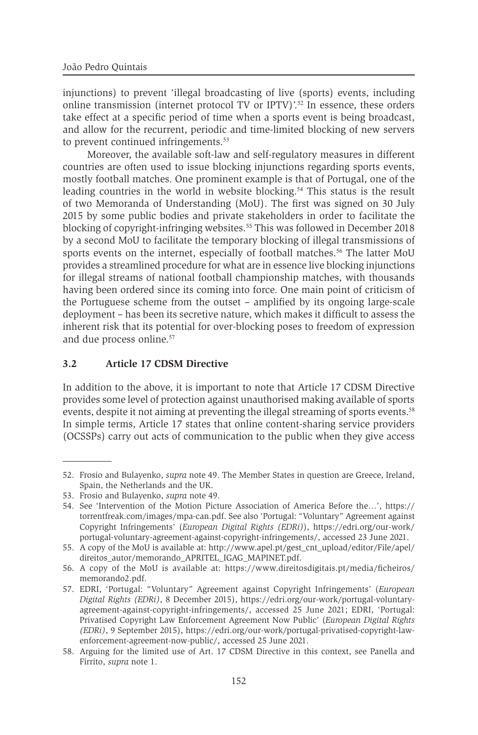injunctions) to prevent 'illegal broadcasting of live (sports) events, including online transmission (internet protocol TV or IPTV)'.<sup>52</sup> In essence, these orders take effect at a specific period of time when a sports event is being broadcast, and allow for the recurrent, periodic and time-limited blocking of new servers to prevent continued infringements.<sup>53</sup>

Moreover, the available soft-law and self-regulatory measures in different countries are often used to issue blocking injunctions regarding sports events, mostly football matches. One prominent example is that of Portugal, one of the leading countries in the world in website blocking.<sup>54</sup> This status is the result of two Memoranda of Understanding (MoU). The first was signed on 30 July 2015 by some public bodies and private stakeholders in order to facilitate the blocking of copyright-infringing websites.55 This was followed in December 2018 by a second MoU to facilitate the temporary blocking of illegal transmissions of sports events on the internet, especially of football matches.<sup>56</sup> The latter MoU provides a streamlined procedure for what are in essence live blocking injunctions for illegal streams of national football championship matches, with thousands having been ordered since its coming into force. One main point of criticism of the Portuguese scheme from the outset – amplified by its ongoing large-scale deployment – has been its secretive nature, which makes it difficult to assess the inherent risk that its potential for over-blocking poses to freedom of expression and due process online.<sup>57</sup>

#### **3.2 Article 17 CDSM Directive**

In addition to the above, it is important to note that Article 17 CDSM Directive provides some level of protection against unauthorised making available of sports events, despite it not aiming at preventing the illegal streaming of sports events.<sup>58</sup> In simple terms, Article 17 states that online content-sharing service providers (OCSSPs) carry out acts of communication to the public when they give access

<sup>52.</sup> Frosio and Bulayenko, *supra* note 49. The Member States in question are Greece, Ireland, Spain, the Netherlands and the UK.

<sup>53.</sup> Frosio and Bulayenko, *supra* note 49.

<sup>54.</sup> See 'Intervention of the Motion Picture Association of America Before the…', https:// torrentfreak.com/images/mpa-can.pdf. See also 'Portugal: "Voluntary" Agreement against Copyright Infringements' (*European Digital Rights (EDRi)*), https://edri.org/our-work/ portugal-voluntary-agreement-against-copyright-infringements/, accessed 23 June 2021.

<sup>55.</sup> A copy of the MoU is available at: http://www.apel.pt/gest\_cnt\_upload/editor/File/apel/ direitos\_autor/memorando\_APRITEL\_IGAG\_MAPINET.pdf.

<sup>56.</sup> A copy of the MoU is available at: https://www.direitosdigitais.pt/media/ficheiros/ memorando2.pdf.

<sup>57.</sup> EDRI, 'Portugal: "Voluntary" Agreement against Copyright Infringements' (*European Digital Rights (EDRi)*, 8 December 2015), https://edri.org/our-work/portugal-voluntaryagreement-against-copyright-infringements/, accessed 25 June 2021; EDRI, 'Portugal: Privatised Copyright Law Enforcement Agreement Now Public' (*European Digital Rights (EDRi)*, 9 September 2015), https://edri.org/our-work/portugal-privatised-copyright-lawenforcement-agreement-now-public/, accessed 25 June 2021.

<sup>58.</sup> Arguing for the limited use of Art. 17 CDSM Directive in this context, see Panella and Firrito, *supra* note 1.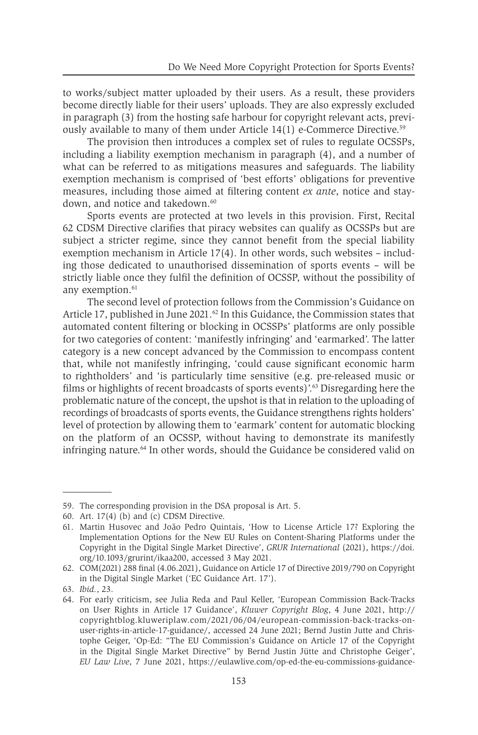to works/subject matter uploaded by their users. As a result, these providers become directly liable for their users' uploads. They are also expressly excluded in paragraph (3) from the hosting safe harbour for copyright relevant acts, previously available to many of them under Article 14(1) e-Commerce Directive.59

The provision then introduces a complex set of rules to regulate OCSSPs, including a liability exemption mechanism in paragraph (4), and a number of what can be referred to as mitigations measures and safeguards. The liability exemption mechanism is comprised of 'best efforts' obligations for preventive measures, including those aimed at filtering content *ex ante*, notice and staydown, and notice and takedown.<sup>60</sup>

Sports events are protected at two levels in this provision. First, Recital 62 CDSM Directive clarifies that piracy websites can qualify as OCSSPs but are subject a stricter regime, since they cannot benefit from the special liability exemption mechanism in Article 17(4). In other words, such websites – including those dedicated to unauthorised dissemination of sports events – will be strictly liable once they fulfil the definition of OCSSP, without the possibility of any exemption.<sup>61</sup>

The second level of protection follows from the Commission's Guidance on Article 17, published in June 2021.<sup>62</sup> In this Guidance, the Commission states that automated content filtering or blocking in OCSSPs' platforms are only possible for two categories of content: 'manifestly infringing' and 'earmarked'. The latter category is a new concept advanced by the Commission to encompass content that, while not manifestly infringing, 'could cause significant economic harm to rightholders' and 'is particularly time sensitive (e.g. pre-released music or films or highlights of recent broadcasts of sports events)'.63 Disregarding here the problematic nature of the concept, the upshot is that in relation to the uploading of recordings of broadcasts of sports events, the Guidance strengthens rights holders' level of protection by allowing them to 'earmark' content for automatic blocking on the platform of an OCSSP, without having to demonstrate its manifestly infringing nature.64 In other words, should the Guidance be considered valid on

<sup>59.</sup> The corresponding provision in the DSA proposal is Art. 5.

<sup>60.</sup> Art. 17(4) (b) and (c) CDSM Directive.

<sup>61.</sup> Martin Husovec and João Pedro Quintais, 'How to License Article 17? Exploring the Implementation Options for the New EU Rules on Content-Sharing Platforms under the Copyright in the Digital Single Market Directive', *GRUR International* (2021), https://doi. org/10.1093/grurint/ikaa200, accessed 3 May 2021.

<sup>62.</sup> COM(2021) 288 final (4.06.2021), Guidance on Article 17 of Directive 2019/790 on Copyright in the Digital Single Market ('EC Guidance Art. 17').

<sup>63.</sup> *Ibid.*, 23.

<sup>64.</sup> For early criticism, see Julia Reda and Paul Keller, 'European Commission Back-Tracks on User Rights in Article 17 Guidance', *Kluwer Copyright Blog*, 4 June 2021, http:// copyrightblog.kluweriplaw.com/2021/06/04/european-commission-back-tracks-onuser-rights-in-article-17-guidance/, accessed 24 June 2021; Bernd Justin Jutte and Christophe Geiger, 'Op-Ed: "The EU Commission's Guidance on Article 17 of the Copyright in the Digital Single Market Directive" by Bernd Justin Jütte and Christophe Geiger', *EU Law Live*, 7 June 2021, https://eulawlive.com/op-ed-the-eu-commissions-guidance-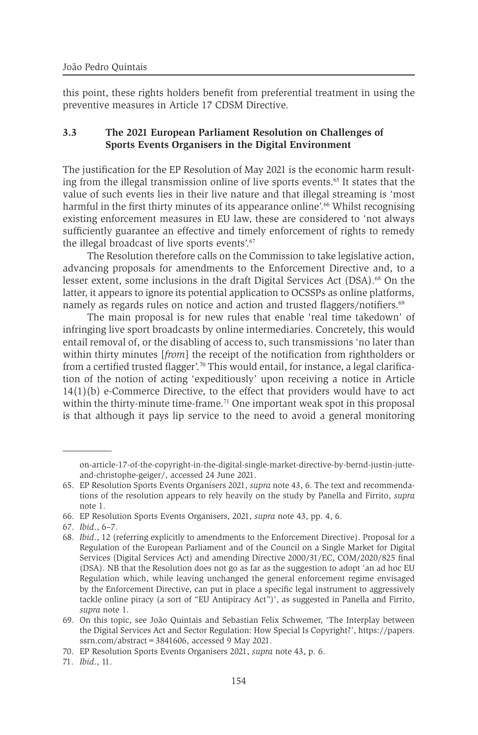this point, these rights holders benefit from preferential treatment in using the preventive measures in Article 17 CDSM Directive.

#### **3.3 The 2021 European Parliament Resolution on Challenges of Sports Events Organisers in the Digital Environment**

The justification for the EP Resolution of May 2021 is the economic harm resulting from the illegal transmission online of live sports events.<sup>65</sup> It states that the value of such events lies in their live nature and that illegal streaming is 'most harmful in the first thirty minutes of its appearance online'.<sup>66</sup> Whilst recognising existing enforcement measures in EU law, these are considered to 'not always sufficiently guarantee an effective and timely enforcement of rights to remedy the illegal broadcast of live sports events'.<sup>67</sup>

The Resolution therefore calls on the Commission to take legislative action, advancing proposals for amendments to the Enforcement Directive and, to a lesser extent, some inclusions in the draft Digital Services Act (DSA).<sup>68</sup> On the latter, it appears to ignore its potential application to OCSSPs as online platforms, namely as regards rules on notice and action and trusted flaggers/notifiers.<sup>69</sup>

The main proposal is for new rules that enable 'real time takedown' of infringing live sport broadcasts by online intermediaries. Concretely, this would entail removal of, or the disabling of access to, such transmissions 'no later than within thirty minutes [*from*] the receipt of the notification from rightholders or from a certified trusted flagger'.<sup>70</sup> This would entail, for instance, a legal clarification of the notion of acting 'expeditiously' upon receiving a notice in Article 14(1)(b) e-Commerce Directive, to the effect that providers would have to act within the thirty-minute time-frame.<sup>71</sup> One important weak spot in this proposal is that although it pays lip service to the need to avoid a general monitoring

67. *Ibid*., 6–7.

71. *Ibid*., 11.

on-article-17-of-the-copyright-in-the-digital-single-market-directive-by-bernd-justin-jutteand-christophe-geiger/, accessed 24 June 2021.

<sup>65.</sup> EP Resolution Sports Events Organisers 2021, *supra* note 43, 6. The text and recommendations of the resolution appears to rely heavily on the study by Panella and Firrito, *supra* note 1.

<sup>66.</sup> EP Resolution Sports Events Organisers, 2021, *supra* note 43, pp. 4, 6.

<sup>68.</sup> *Ibid*., 12 (referring explicitly to amendments to the Enforcement Directive). Proposal for a Regulation of the European Parliament and of the Council on a Single Market for Digital Services (Digital Services Act) and amending Directive 2000/31/EC, COM/2020/825 final (DSA). NB that the Resolution does not go as far as the suggestion to adopt 'an ad hoc EU Regulation which, while leaving unchanged the general enforcement regime envisaged by the Enforcement Directive, can put in place a specific legal instrument to aggressively tackle online piracy (a sort of "EU Antipiracy Act")', as suggested in Panella and Firrito, *supra* note 1.

<sup>69.</sup> On this topic, see João Quintais and Sebastian Felix Schwemer, 'The Interplay between the Digital Services Act and Sector Regulation: How Special Is Copyright?', https://papers. ssrn.com/abstract=3841606, accessed 9 May 2021.

<sup>70.</sup> EP Resolution Sports Events Organisers 2021, *supra* note 43, p. 6.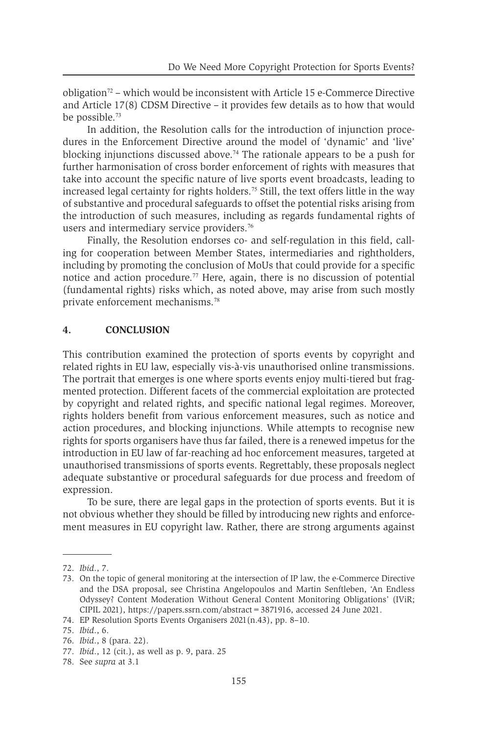obligation<sup>72</sup> – which would be inconsistent with Article 15 e-Commerce Directive and Article 17(8) CDSM Directive – it provides few details as to how that would be possible.<sup>73</sup>

In addition, the Resolution calls for the introduction of injunction procedures in the Enforcement Directive around the model of 'dynamic' and 'live' blocking injunctions discussed above.<sup>74</sup> The rationale appears to be a push for further harmonisation of cross border enforcement of rights with measures that take into account the specific nature of live sports event broadcasts, leading to increased legal certainty for rights holders.<sup>75</sup> Still, the text offers little in the way of substantive and procedural safeguards to offset the potential risks arising from the introduction of such measures, including as regards fundamental rights of users and intermediary service providers.<sup>76</sup>

Finally, the Resolution endorses co- and self-regulation in this field, calling for cooperation between Member States, intermediaries and rightholders, including by promoting the conclusion of MoUs that could provide for a specific notice and action procedure.<sup>77</sup> Here, again, there is no discussion of potential (fundamental rights) risks which, as noted above, may arise from such mostly private enforcement mechanisms.<sup>78</sup>

#### **4. CONCLUSION**

This contribution examined the protection of sports events by copyright and related rights in EU law, especially vis-à-vis unauthorised online transmissions. The portrait that emerges is one where sports events enjoy multi-tiered but fragmented protection. Different facets of the commercial exploitation are protected by copyright and related rights, and specific national legal regimes. Moreover, rights holders benefit from various enforcement measures, such as notice and action procedures, and blocking injunctions. While attempts to recognise new rights for sports organisers have thus far failed, there is a renewed impetus for the introduction in EU law of far-reaching ad hoc enforcement measures, targeted at unauthorised transmissions of sports events. Regrettably, these proposals neglect adequate substantive or procedural safeguards for due process and freedom of expression.

To be sure, there are legal gaps in the protection of sports events. But it is not obvious whether they should be filled by introducing new rights and enforcement measures in EU copyright law. Rather, there are strong arguments against

<sup>72.</sup> *Ibid*., 7.

<sup>73.</sup> On the topic of general monitoring at the intersection of IP law, the e-Commerce Directive and the DSA proposal, see Christina Angelopoulos and Martin Senftleben, 'An Endless Odyssey? Content Moderation Without General Content Monitoring Obligations' (IViR; CIPIL 2021), https://papers.ssrn.com/abstract=3871916, accessed 24 June 2021.

<sup>74.</sup> EP Resolution Sports Events Organisers 2021(n.43), pp. 8–10.

<sup>75.</sup> *Ibid*., 6.

<sup>76.</sup> *Ibid*., 8 (para. 22).

<sup>77.</sup> *Ibid*., 12 (cit.), as well as p. 9, para. 25

<sup>78.</sup> See *supra* at 3.1